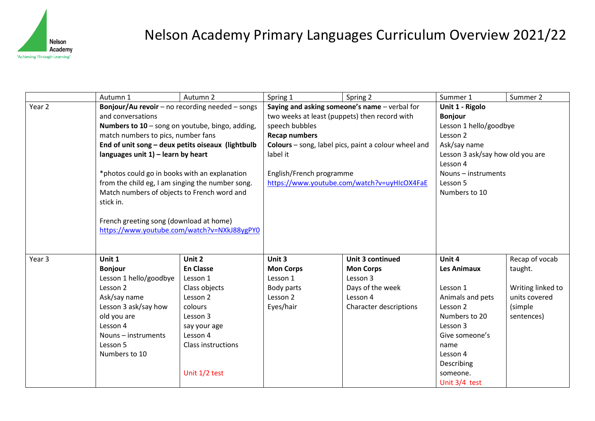

# Nelson Academy Primary Languages Curriculum Overview 2021/22

|        | Autumn 1                                                                                                                                                                                                                                       | Autumn 2           | Spring 1                                                                | Spring 2                | Summer 1                         | Summer 2          |
|--------|------------------------------------------------------------------------------------------------------------------------------------------------------------------------------------------------------------------------------------------------|--------------------|-------------------------------------------------------------------------|-------------------------|----------------------------------|-------------------|
| Year 2 | Bonjour/Au revoir - no recording needed - songs                                                                                                                                                                                                |                    | Saying and asking someone's name - verbal for                           |                         | Unit 1 - Rigolo                  |                   |
|        | and conversations                                                                                                                                                                                                                              |                    | two weeks at least (puppets) then record with                           |                         | <b>Bonjour</b>                   |                   |
|        | Numbers to $10$ – song on youtube, bingo, adding,                                                                                                                                                                                              |                    | speech bubbles                                                          |                         | Lesson 1 hello/goodbye           |                   |
|        | match numbers to pics, number fans                                                                                                                                                                                                             |                    | <b>Recap numbers</b>                                                    |                         | Lesson 2                         |                   |
|        | End of unit song - deux petits oiseaux (lightbulb<br>languages unit $1$ ) – learn by heart<br>*photos could go in books with an explanation<br>from the child eg, I am singing the number song.<br>Match numbers of objects to French word and |                    | Colours - song, label pics, paint a colour wheel and<br>label it        |                         | Ask/say name                     |                   |
|        |                                                                                                                                                                                                                                                |                    |                                                                         |                         | Lesson 3 ask/say how old you are |                   |
|        |                                                                                                                                                                                                                                                |                    |                                                                         |                         | Lesson 4                         |                   |
|        |                                                                                                                                                                                                                                                |                    | English/French programme<br>https://www.youtube.com/watch?v=uyHIcOX4FaE |                         | Nouns - instruments              |                   |
|        |                                                                                                                                                                                                                                                |                    |                                                                         |                         | Lesson 5                         |                   |
|        |                                                                                                                                                                                                                                                |                    |                                                                         |                         | Numbers to 10                    |                   |
|        | stick in.                                                                                                                                                                                                                                      |                    |                                                                         |                         |                                  |                   |
|        | French greeting song (download at home)<br>https://www.youtube.com/watch?v=NXkJ88ygPY0                                                                                                                                                         |                    |                                                                         |                         |                                  |                   |
|        |                                                                                                                                                                                                                                                |                    |                                                                         |                         |                                  |                   |
|        |                                                                                                                                                                                                                                                |                    |                                                                         |                         |                                  |                   |
|        |                                                                                                                                                                                                                                                |                    |                                                                         |                         |                                  |                   |
| Year 3 | Unit 1                                                                                                                                                                                                                                         | Unit 2             | Unit 3                                                                  | <b>Unit 3 continued</b> | Unit 4                           | Recap of vocab    |
|        | <b>Bonjour</b>                                                                                                                                                                                                                                 | <b>En Classe</b>   | <b>Mon Corps</b>                                                        | <b>Mon Corps</b>        | <b>Les Animaux</b>               | taught.           |
|        | Lesson 1 hello/goodbye                                                                                                                                                                                                                         | Lesson 1           | Lesson 1                                                                | Lesson 3                |                                  |                   |
|        | Lesson 2                                                                                                                                                                                                                                       | Class objects      | Body parts                                                              | Days of the week        | Lesson 1                         | Writing linked to |
|        | Ask/say name                                                                                                                                                                                                                                   | Lesson 2           | Lesson 2                                                                | Lesson 4                | Animals and pets                 | units covered     |
|        | Lesson 3 ask/say how                                                                                                                                                                                                                           | colours            | Eyes/hair                                                               | Character descriptions  | Lesson 2                         | (simple           |
|        | old you are                                                                                                                                                                                                                                    | Lesson 3           |                                                                         |                         | Numbers to 20                    | sentences)        |
|        | Lesson 4                                                                                                                                                                                                                                       | say your age       |                                                                         |                         | Lesson 3                         |                   |
|        | Nouns - instruments                                                                                                                                                                                                                            | Lesson 4           |                                                                         |                         | Give someone's                   |                   |
|        | Lesson 5                                                                                                                                                                                                                                       | Class instructions |                                                                         |                         | name                             |                   |
|        | Numbers to 10                                                                                                                                                                                                                                  |                    |                                                                         |                         | Lesson 4                         |                   |
|        |                                                                                                                                                                                                                                                |                    |                                                                         |                         | Describing                       |                   |
|        |                                                                                                                                                                                                                                                | Unit 1/2 test      |                                                                         |                         | someone.                         |                   |
|        |                                                                                                                                                                                                                                                |                    |                                                                         |                         | Unit 3/4 test                    |                   |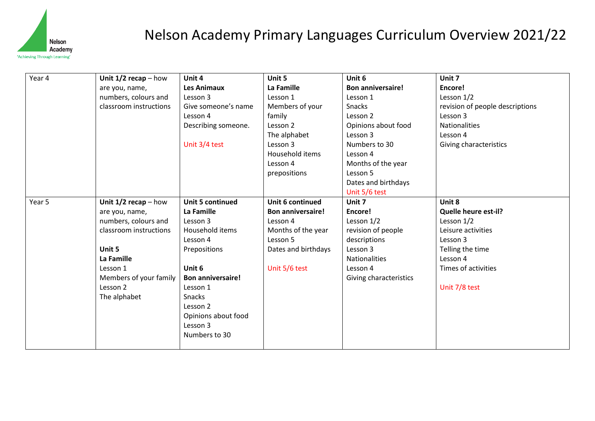

## Nelson Academy Primary Languages Curriculum Overview 2021/22

| Year 4 | Unit $1/2$ recap – how | Unit 4                   | Unit 5                   | Unit 6                   | Unit 7                          |
|--------|------------------------|--------------------------|--------------------------|--------------------------|---------------------------------|
|        | are you, name,         | Les Animaux              | La Famille               | <b>Bon anniversaire!</b> | Encore!                         |
|        | numbers, colours and   | Lesson 3                 | Lesson 1                 | Lesson 1                 | Lesson 1/2                      |
|        | classroom instructions | Give someone's name      | Members of your          | Snacks                   | revision of people descriptions |
|        |                        |                          |                          |                          |                                 |
|        |                        | Lesson 4                 | family                   | Lesson 2                 | Lesson 3                        |
|        |                        | Describing someone.      | Lesson 2                 | Opinions about food      | <b>Nationalities</b>            |
|        |                        |                          | The alphabet             | Lesson 3                 | Lesson 4                        |
|        |                        | Unit 3/4 test            | Lesson 3                 | Numbers to 30            | Giving characteristics          |
|        |                        |                          | Household items          | Lesson 4                 |                                 |
|        |                        |                          | Lesson 4                 | Months of the year       |                                 |
|        |                        |                          | prepositions             | Lesson 5                 |                                 |
|        |                        |                          |                          | Dates and birthdays      |                                 |
|        |                        |                          |                          | Unit 5/6 test            |                                 |
| Year 5 | Unit $1/2$ recap – how | <b>Unit 5 continued</b>  | Unit 6 continued         | Unit 7                   | Unit 8                          |
|        | are you, name,         | La Famille               | <b>Bon anniversaire!</b> | Encore!                  | Quelle heure est-il?            |
|        | numbers, colours and   | Lesson 3                 | Lesson 4                 | Lesson 1/2               | Lesson $1/2$                    |
|        | classroom instructions | Household items          | Months of the year       | revision of people       | Leisure activities              |
|        |                        | Lesson 4                 | Lesson 5                 | descriptions             | Lesson 3                        |
|        | Unit 5                 | Prepositions             | Dates and birthdays      | Lesson 3                 | Telling the time                |
|        | La Famille             |                          |                          | <b>Nationalities</b>     | Lesson 4                        |
|        | Lesson 1               | Unit 6                   | Unit 5/6 test            | Lesson 4                 | Times of activities             |
|        | Members of your family | <b>Bon anniversaire!</b> |                          | Giving characteristics   |                                 |
|        | Lesson 2               | Lesson 1                 |                          |                          | Unit 7/8 test                   |
|        | The alphabet           | Snacks                   |                          |                          |                                 |
|        |                        | Lesson 2                 |                          |                          |                                 |
|        |                        | Opinions about food      |                          |                          |                                 |
|        |                        | Lesson 3                 |                          |                          |                                 |
|        |                        | Numbers to 30            |                          |                          |                                 |
|        |                        |                          |                          |                          |                                 |
|        |                        |                          |                          |                          |                                 |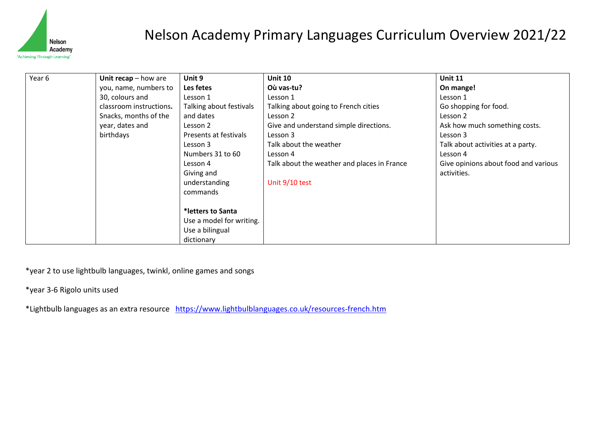

## Nelson Academy Primary Languages Curriculum Overview 2021/22

| Year 6 | Unit $recap - how are$  | Unit 9                   | <b>Unit 10</b>                              | <b>Unit 11</b>                       |
|--------|-------------------------|--------------------------|---------------------------------------------|--------------------------------------|
|        | you, name, numbers to   | Les fetes                | Où vas-tu?                                  | On mange!                            |
|        | 30, colours and         | Lesson 1                 | Lesson 1                                    | Lesson 1                             |
|        | classroom instructions. | Talking about festivals  | Talking about going to French cities        | Go shopping for food.                |
|        | Snacks, months of the   | and dates                | Lesson 2                                    | Lesson 2                             |
|        | year, dates and         | Lesson 2                 | Give and understand simple directions.      | Ask how much something costs.        |
|        | birthdays               | Presents at festivals    | Lesson 3                                    | Lesson 3                             |
|        |                         | Lesson 3                 | Talk about the weather                      | Talk about activities at a party.    |
|        |                         | Numbers 31 to 60         | Lesson 4                                    | Lesson 4                             |
|        |                         | Lesson 4                 | Talk about the weather and places in France | Give opinions about food and various |
|        |                         | Giving and               |                                             | activities.                          |
|        |                         | understanding            | Unit 9/10 test                              |                                      |
|        |                         | commands                 |                                             |                                      |
|        |                         |                          |                                             |                                      |
|        |                         | *letters to Santa        |                                             |                                      |
|        |                         | Use a model for writing. |                                             |                                      |
|        |                         | Use a bilingual          |                                             |                                      |
|        |                         | dictionary               |                                             |                                      |

\*year 2 to use lightbulb languages, twinkl, online games and songs

\*year 3-6 Rigolo units used

\*Lightbulb languages as an extra resource <https://www.lightbulblanguages.co.uk/resources-french.htm>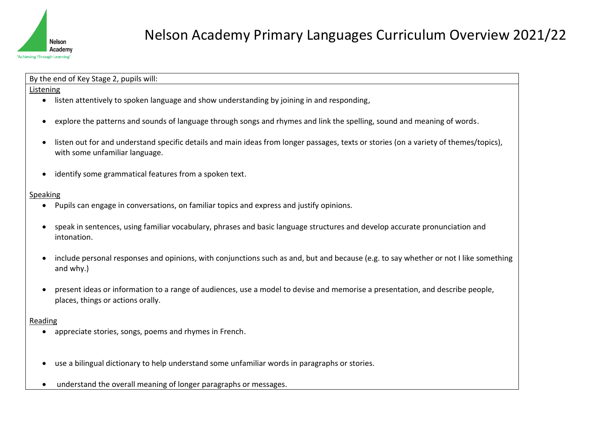

By the end of Key Stage 2, pupils will:

#### Listening

- listen attentively to spoken language and show understanding by joining in and responding,
- explore the patterns and sounds of language through songs and rhymes and link the spelling, sound and meaning of words.
- listen out for and understand specific details and main ideas from longer passages, texts or stories (on a variety of themes/topics), with some unfamiliar language.
- identify some grammatical features from a spoken text.

### Speaking

- Pupils can engage in conversations, on familiar topics and express and justify opinions.
- speak in sentences, using familiar vocabulary, phrases and basic language structures and develop accurate pronunciation and intonation.
- include personal responses and opinions, with conjunctions such as and, but and because (e.g. to say whether or not I like something and why.)
- present ideas or information to a range of audiences, use a model to devise and memorise a presentation, and describe people, places, things or actions orally.

### Reading

- appreciate stories, songs, poems and rhymes in French.
- use a bilingual dictionary to help understand some unfamiliar words in paragraphs or stories.
- understand the overall meaning of longer paragraphs or messages.